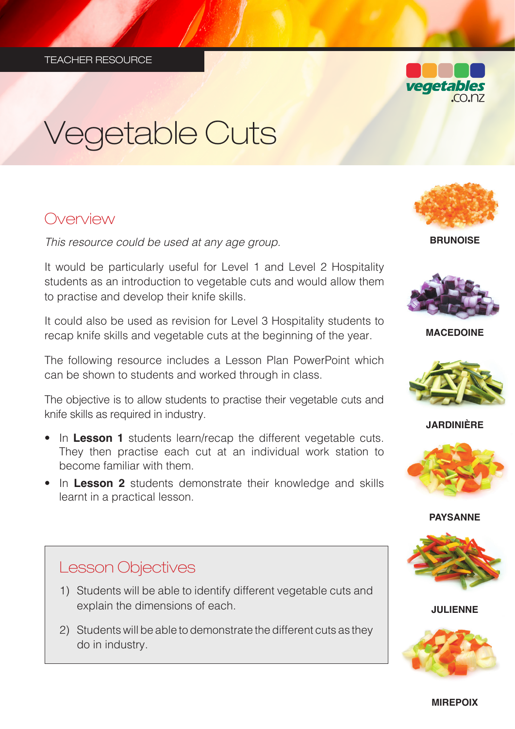

# Vegetable Cuts

## Overview

*This resource could be used at any age group.* 

It would be particularly useful for Level 1 and Level 2 Hospitality students as an introduction to vegetable cuts and would allow them to practise and develop their knife skills.

It could also be used as revision for Level 3 Hospitality students to recap knife skills and vegetable cuts at the beginning of the year.

The following resource includes a Lesson Plan PowerPoint which can be shown to students and worked through in class.

The objective is to allow students to practise their vegetable cuts and knife skills as required in industry.

- In **Lesson 1** students learn/recap the different vegetable cuts. They then practise each cut at an individual work station to become familiar with them.
- In **Lesson 2** students demonstrate their knowledge and skills learnt in a practical lesson.



**BRUNOISE**



**MACEDOINE**



**JARDINIÈRE**



#### **PAYSANNE**



**JULIENNE**



## Lesson Objectives

- 1) Students will be able to identify different vegetable cuts and explain the dimensions of each.
- 2) Students will be able to demonstrate the different cuts as they do in industry.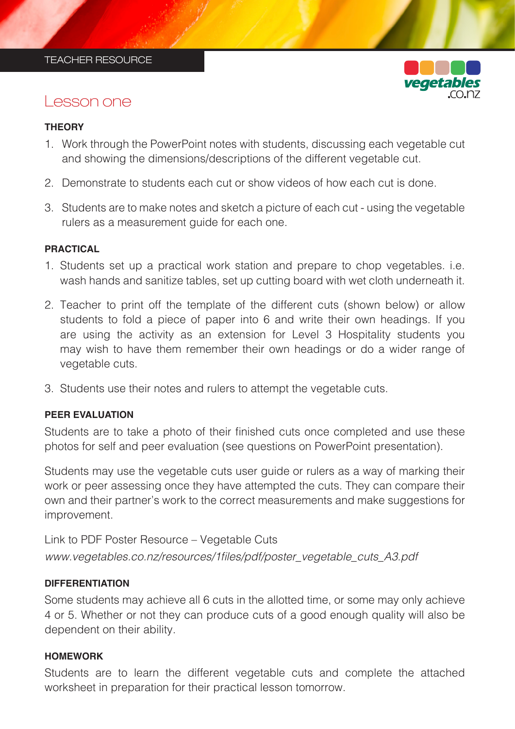

### Lesson one

#### **THEORY**

- 1. Work through the PowerPoint notes with students, discussing each vegetable cut and showing the dimensions/descriptions of the different vegetable cut.
- 2. Demonstrate to students each cut or show videos of how each cut is done.
- 3. Students are to make notes and sketch a picture of each cut using the vegetable rulers as a measurement guide for each one.

#### **PRACTICAL**

- 1. Students set up a practical work station and prepare to chop vegetables. i.e. wash hands and sanitize tables, set up cutting board with wet cloth underneath it.
- 2. Teacher to print off the template of the different cuts (shown below) or allow students to fold a piece of paper into 6 and write their own headings. If you are using the activity as an extension for Level 3 Hospitality students you may wish to have them remember their own headings or do a wider range of vegetable cuts.
- 3. Students use their notes and rulers to attempt the vegetable cuts.

#### **PEER EVALUATION**

Students are to take a photo of their finished cuts once completed and use these photos for self and peer evaluation (see questions on PowerPoint presentation).

Students may use the vegetable cuts user guide or rulers as a way of marking their work or peer assessing once they have attempted the cuts. They can compare their own and their partner's work to the correct measurements and make suggestions for improvement.

Link to PDF Poster Resource – Vegetable Cuts www.vegetables.co.nz/resources/1files/pdf/poster\_vegetable\_cuts\_A3.pdf

#### **DIFFERENTIATION**

Some students may achieve all 6 cuts in the allotted time, or some may only achieve 4 or 5. Whether or not they can produce cuts of a good enough quality will also be dependent on their ability.

#### **HOMEWORK**

Students are to learn the different vegetable cuts and complete the attached worksheet in preparation for their practical lesson tomorrow.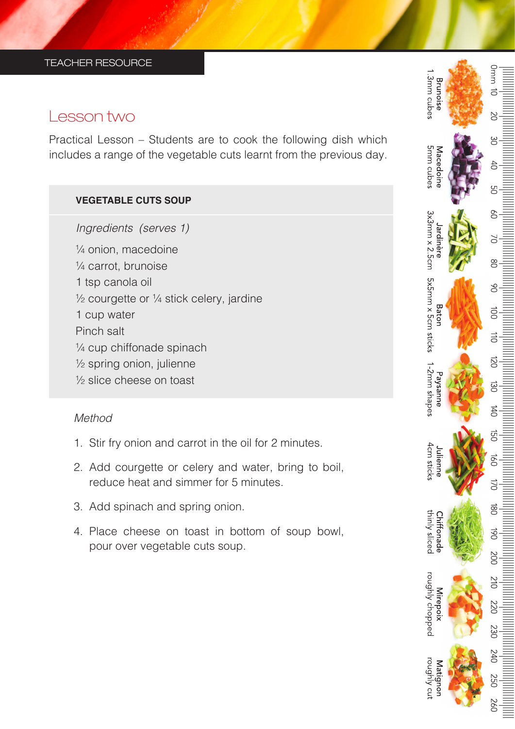## Lesson two

Practical Lesson – Students are to cook the following dish which includes a range of the vegetable cuts learnt from the previous day.

#### **VEGETABLE CUTS SOUP**

*Ingredients (serves 1)* 

¼ onion, macedoine ¼ carrot, brunoise 1 tsp canola oil ½ courgette or ¼ stick celery, jardine 1 cup water Pinch salt ¼ cup chiffonade spinach ½ spring onion, julienne ½ slice cheese on toast

#### *Method*

- 1. Stir fry onion and carrot in the oil for 2 minutes.
- 2. Add courgette or celery and water, bring to boil, reduce heat and simmer for 5 minutes.
- 3. Add spinach and spring onion.
- 4. Place cheese on toast in bottom of soup bowl, pour over vegetable cuts soup.